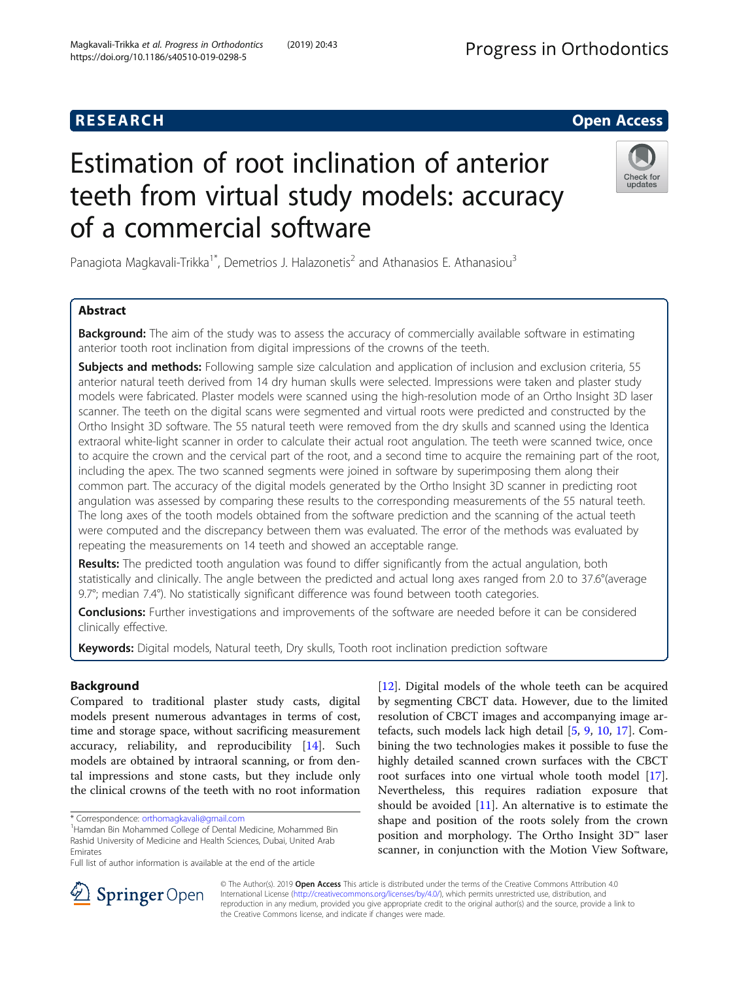# Estimation of root inclination of anterior teeth from virtual study models: accuracy of a commercial software

Panagiota Magkavali-Trikka<sup>1\*</sup>, Demetrios J. Halazonetis<sup>2</sup> and Athanasios E. Athanasiou<sup>3</sup>

## Abstract

**Background:** The aim of the study was to assess the accuracy of commercially available software in estimating anterior tooth root inclination from digital impressions of the crowns of the teeth.

Subjects and methods: Following sample size calculation and application of inclusion and exclusion criteria, 55 anterior natural teeth derived from 14 dry human skulls were selected. Impressions were taken and plaster study models were fabricated. Plaster models were scanned using the high-resolution mode of an Ortho Insight 3D laser scanner. The teeth on the digital scans were segmented and virtual roots were predicted and constructed by the Ortho Insight 3D software. The 55 natural teeth were removed from the dry skulls and scanned using the Identica extraoral white-light scanner in order to calculate their actual root angulation. The teeth were scanned twice, once to acquire the crown and the cervical part of the root, and a second time to acquire the remaining part of the root, including the apex. The two scanned segments were joined in software by superimposing them along their common part. The accuracy of the digital models generated by the Ortho Insight 3D scanner in predicting root angulation was assessed by comparing these results to the corresponding measurements of the 55 natural teeth. The long axes of the tooth models obtained from the software prediction and the scanning of the actual teeth were computed and the discrepancy between them was evaluated. The error of the methods was evaluated by repeating the measurements on 14 teeth and showed an acceptable range.

Results: The predicted tooth angulation was found to differ significantly from the actual angulation, both statistically and clinically. The angle between the predicted and actual long axes ranged from 2.0 to 37.6°(average  $9.7^\circ$ ; median 7.4 $^\circ$ ). No statistically significant difference was found between tooth categories.

**Conclusions:** Further investigations and improvements of the software are needed before it can be considered clinically effective.

Keywords: Digital models, Natural teeth, Dry skulls, Tooth root inclination prediction software

#### Background

Compared to traditional plaster study casts, digital models present numerous advantages in terms of cost, time and storage space, without sacrificing measurement accuracy, reliability, and reproducibility [[14\]](#page-6-0). Such models are obtained by intraoral scanning, or from dental impressions and stone casts, but they include only the clinical crowns of the teeth with no root information

[[12\]](#page-6-0). Digital models of the whole teeth can be acquired by segmenting CBCT data. However, due to the limited resolution of CBCT images and accompanying image artefacts, such models lack high detail [[5,](#page-6-0) [9,](#page-6-0) [10](#page-6-0), [17](#page-6-0)]. Combining the two technologies makes it possible to fuse the highly detailed scanned crown surfaces with the CBCT root surfaces into one virtual whole tooth model [\[17](#page-6-0)]. Nevertheless, this requires radiation exposure that should be avoided [\[11](#page-6-0)]. An alternative is to estimate the shape and position of the roots solely from the crown position and morphology. The Ortho Insight 3D™ laser scanner, in conjunction with the Motion View Software,

https://doi.org/10.1186/s40510-019-0298-5

© The Author(s). 2019 Open Access This article is distributed under the terms of the Creative Commons Attribution 4.0 International License ([http://creativecommons.org/licenses/by/4.0/\)](http://creativecommons.org/licenses/by/4.0/), which permits unrestricted use, distribution, and reproduction in any medium, provided you give appropriate credit to the original author(s) and the source, provide a link to the Creative Commons license, and indicate if changes were made.







<sup>\*</sup> Correspondence: [orthomagkavali@gmail.com](mailto:orthomagkavali@gmail.com) <sup>1</sup>

<sup>&</sup>lt;sup>1</sup> Hamdan Bin Mohammed College of Dental Medicine, Mohammed Bin Rashid University of Medicine and Health Sciences, Dubai, United Arab Emirates

Full list of author information is available at the end of the article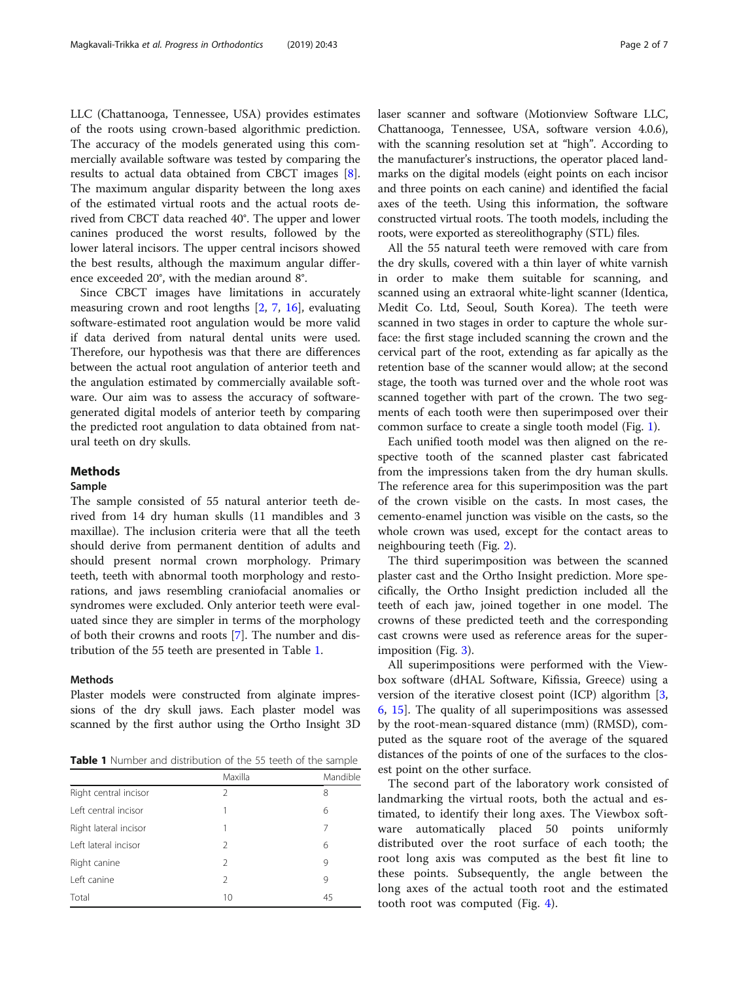<span id="page-1-0"></span>LLC (Chattanooga, Tennessee, USA) provides estimates of the roots using crown-based algorithmic prediction. The accuracy of the models generated using this commercially available software was tested by comparing the results to actual data obtained from CBCT images [\[8](#page-6-0)]. The maximum angular disparity between the long axes of the estimated virtual roots and the actual roots derived from CBCT data reached 40°. The upper and lower canines produced the worst results, followed by the lower lateral incisors. The upper central incisors showed the best results, although the maximum angular difference exceeded 20°, with the median around 8°.

Since CBCT images have limitations in accurately measuring crown and root lengths [\[2](#page-6-0), [7](#page-6-0), [16\]](#page-6-0), evaluating software-estimated root angulation would be more valid if data derived from natural dental units were used. Therefore, our hypothesis was that there are differences between the actual root angulation of anterior teeth and the angulation estimated by commercially available software. Our aim was to assess the accuracy of softwaregenerated digital models of anterior teeth by comparing the predicted root angulation to data obtained from natural teeth on dry skulls.

#### Methods

#### Sample

The sample consisted of 55 natural anterior teeth derived from 14 dry human skulls (11 mandibles and 3 maxillae). The inclusion criteria were that all the teeth should derive from permanent dentition of adults and should present normal crown morphology. Primary teeth, teeth with abnormal tooth morphology and restorations, and jaws resembling craniofacial anomalies or syndromes were excluded. Only anterior teeth were evaluated since they are simpler in terms of the morphology of both their crowns and roots [\[7](#page-6-0)]. The number and distribution of the 55 teeth are presented in Table 1.

#### Methods

Plaster models were constructed from alginate impressions of the dry skull jaws. Each plaster model was scanned by the first author using the Ortho Insight 3D

**Table 1** Number and distribution of the 55 teeth of the sample

|                       | Maxilla        | Mandible |
|-----------------------|----------------|----------|
| Right central incisor | $\mathcal{P}$  | 8        |
| Left central incisor  |                | 6        |
| Right lateral incisor | 1              | 7        |
| Left lateral incisor  | $\mathcal{P}$  | 6        |
| Right canine          | 2              | 9        |
| Left canine           | $\mathfrak{D}$ | 9        |
| Total                 | 10             | 45       |

laser scanner and software (Motionview Software LLC, Chattanooga, Tennessee, USA, software version 4.0.6), with the scanning resolution set at "high". According to the manufacturer's instructions, the operator placed landmarks on the digital models (eight points on each incisor and three points on each canine) and identified the facial axes of the teeth. Using this information, the software constructed virtual roots. The tooth models, including the roots, were exported as stereolithography (STL) files.

All the 55 natural teeth were removed with care from the dry skulls, covered with a thin layer of white varnish in order to make them suitable for scanning, and scanned using an extraoral white-light scanner (Identica, Medit Co. Ltd, Seoul, South Korea). The teeth were scanned in two stages in order to capture the whole surface: the first stage included scanning the crown and the cervical part of the root, extending as far apically as the retention base of the scanner would allow; at the second stage, the tooth was turned over and the whole root was scanned together with part of the crown. The two segments of each tooth were then superimposed over their common surface to create a single tooth model (Fig. [1\)](#page-2-0).

Each unified tooth model was then aligned on the respective tooth of the scanned plaster cast fabricated from the impressions taken from the dry human skulls. The reference area for this superimposition was the part of the crown visible on the casts. In most cases, the cemento-enamel junction was visible on the casts, so the whole crown was used, except for the contact areas to neighbouring teeth (Fig. [2\)](#page-2-0).

The third superimposition was between the scanned plaster cast and the Ortho Insight prediction. More specifically, the Ortho Insight prediction included all the teeth of each jaw, joined together in one model. The crowns of these predicted teeth and the corresponding cast crowns were used as reference areas for the superimposition (Fig. [3\)](#page-3-0).

All superimpositions were performed with the Viewbox software (dHAL Software, Kifissia, Greece) using a version of the iterative closest point (ICP) algorithm [\[3](#page-6-0), [6,](#page-6-0) [15\]](#page-6-0). The quality of all superimpositions was assessed by the root-mean-squared distance (mm) (RMSD), computed as the square root of the average of the squared distances of the points of one of the surfaces to the closest point on the other surface.

The second part of the laboratory work consisted of landmarking the virtual roots, both the actual and estimated, to identify their long axes. The Viewbox software automatically placed 50 points uniformly distributed over the root surface of each tooth; the root long axis was computed as the best fit line to these points. Subsequently, the angle between the long axes of the actual tooth root and the estimated tooth root was computed (Fig. [4](#page-3-0)).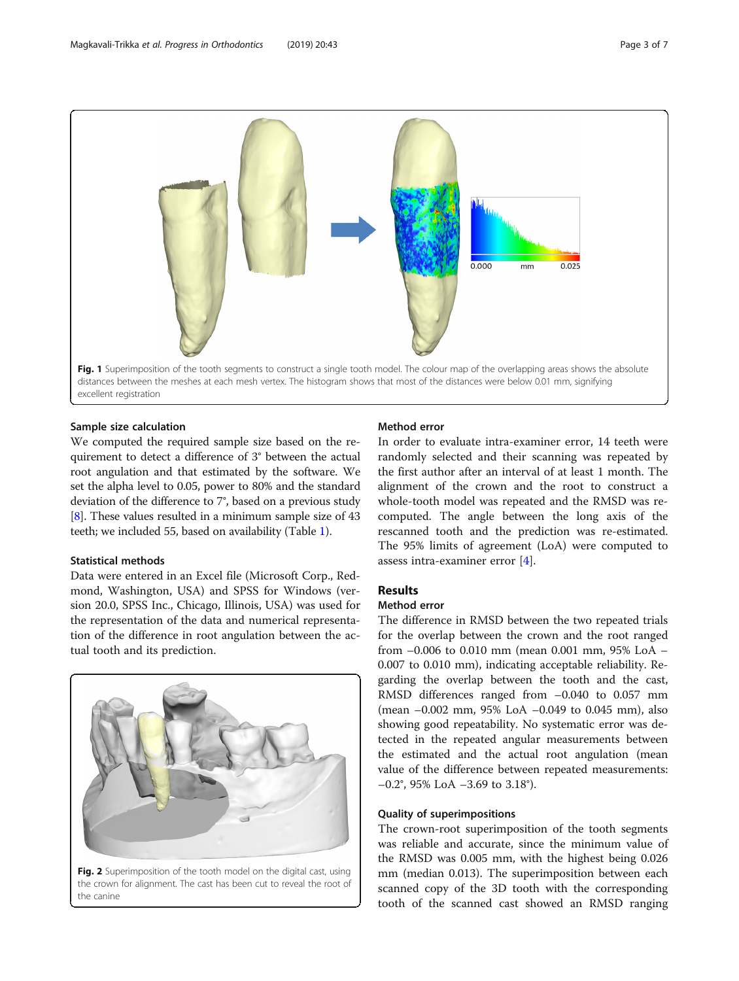<span id="page-2-0"></span>

#### Sample size calculation

We computed the required sample size based on the requirement to detect a difference of 3° between the actual root angulation and that estimated by the software. We set the alpha level to 0.05, power to 80% and the standard deviation of the difference to 7°, based on a previous study [[8\]](#page-6-0). These values resulted in a minimum sample size of 43 teeth; we included 55, based on availability (Table [1](#page-1-0)).

#### Statistical methods

Data were entered in an Excel file (Microsoft Corp., Redmond, Washington, USA) and SPSS for Windows (version 20.0, SPSS Inc., Chicago, Illinois, USA) was used for the representation of the data and numerical representation of the difference in root angulation between the actual tooth and its prediction.



Fig. 2 Superimposition of the tooth model on the digital cast, using the crown for alignment. The cast has been cut to reveal the root of the canine

#### Method error

In order to evaluate intra-examiner error, 14 teeth were randomly selected and their scanning was repeated by the first author after an interval of at least 1 month. The alignment of the crown and the root to construct a whole-tooth model was repeated and the RMSD was recomputed. The angle between the long axis of the rescanned tooth and the prediction was re-estimated. The 95% limits of agreement (LoA) were computed to assess intra-examiner error [[4\]](#page-6-0).

#### Results

#### Method error

The difference in RMSD between the two repeated trials for the overlap between the crown and the root ranged from –0.006 to 0.010 mm (mean 0.001 mm, 95% LoA – 0.007 to 0.010 mm), indicating acceptable reliability. Regarding the overlap between the tooth and the cast, RMSD differences ranged from  $-0.040$  to 0.057 mm (mean –0.002 mm, 95% LoA –0.049 to 0.045 mm), also showing good repeatability. No systematic error was detected in the repeated angular measurements between the estimated and the actual root angulation (mean value of the difference between repeated measurements: –0.2°, 95% LoA –3.69 to 3.18°).

#### Quality of superimpositions

The crown-root superimposition of the tooth segments was reliable and accurate, since the minimum value of the RMSD was 0.005 mm, with the highest being 0.026 mm (median 0.013). The superimposition between each scanned copy of the 3D tooth with the corresponding tooth of the scanned cast showed an RMSD ranging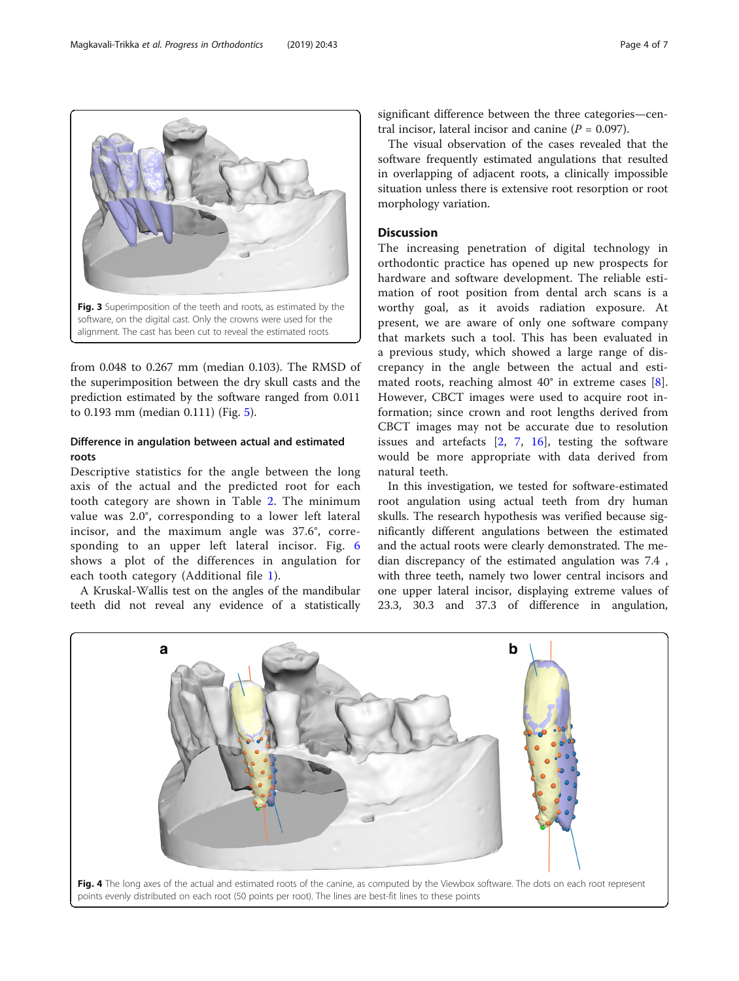from 0.048 to 0.267 mm (median 0.103). The RMSD of the superimposition between the dry skull casts and the prediction estimated by the software ranged from 0.011 to 0.193 mm (median 0.111) (Fig. [5\)](#page-4-0).

#### Difference in angulation between actual and estimated roots

Descriptive statistics for the angle between the long axis of the actual and the predicted root for each tooth category are shown in Table [2.](#page-4-0) The minimum value was 2.0°, corresponding to a lower left lateral incisor, and the maximum angle was 37.6°, corresponding to an upper left lateral incisor. Fig. [6](#page-5-0) shows a plot of the differences in angulation for each tooth category (Additional file [1\)](#page-5-0).

A Kruskal-Wallis test on the angles of the mandibular teeth did not reveal any evidence of a statistically

significant difference between the three categories—central incisor, lateral incisor and canine ( $P = 0.097$ ).

The visual observation of the cases revealed that the software frequently estimated angulations that resulted in overlapping of adjacent roots, a clinically impossible situation unless there is extensive root resorption or root morphology variation.

#### Discussion

The increasing penetration of digital technology in orthodontic practice has opened up new prospects for hardware and software development. The reliable estimation of root position from dental arch scans is a worthy goal, as it avoids radiation exposure. At present, we are aware of only one software company that markets such a tool. This has been evaluated in a previous study, which showed a large range of discrepancy in the angle between the actual and estimated roots, reaching almost  $40^{\circ}$  in extreme cases [\[8](#page-6-0)]. However, CBCT images were used to acquire root information; since crown and root lengths derived from CBCT images may not be accurate due to resolution issues and artefacts [\[2](#page-6-0), [7,](#page-6-0) [16](#page-6-0)], testing the software would be more appropriate with data derived from natural teeth.

In this investigation, we tested for software-estimated root angulation using actual teeth from dry human skulls. The research hypothesis was verified because significantly different angulations between the estimated and the actual roots were clearly demonstrated. The median discrepancy of the estimated angulation was 7.4 , with three teeth, namely two lower central incisors and one upper lateral incisor, displaying extreme values of 23.3, 30.3 and 37.3 of difference in angulation,



<span id="page-3-0"></span>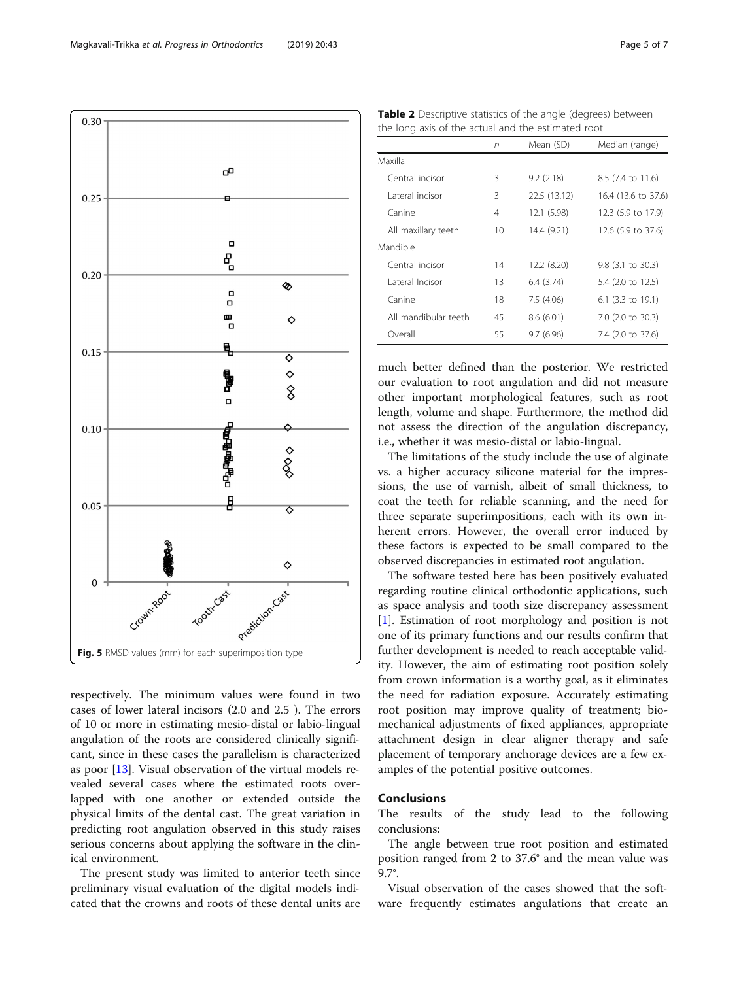<span id="page-4-0"></span>

respectively. The minimum values were found in two cases of lower lateral incisors (2.0 and 2.5 ). The errors of 10 or more in estimating mesio-distal or labio-lingual angulation of the roots are considered clinically significant, since in these cases the parallelism is characterized as poor [\[13](#page-6-0)]. Visual observation of the virtual models revealed several cases where the estimated roots overlapped with one another or extended outside the physical limits of the dental cast. The great variation in predicting root angulation observed in this study raises serious concerns about applying the software in the clinical environment.

The present study was limited to anterior teeth since preliminary visual evaluation of the digital models indicated that the crowns and roots of these dental units are

| <b>Table 2</b> Descriptive statistics of the angle (degrees) between |  |  |
|----------------------------------------------------------------------|--|--|
| the long axis of the actual and the estimated root                   |  |  |

|                      | n  | Mean (SD)    | Median (range)      |
|----------------------|----|--------------|---------------------|
| Maxilla              |    |              |                     |
| Central incisor      | 3  | 9.2(2.18)    | 8.5 (7.4 to 11.6)   |
| Lateral incisor      | 3  | 22.5 (13.12) | 16.4 (13.6 to 37.6) |
| Canine               | 4  | 12.1 (5.98)  | 12.3 (5.9 to 17.9)  |
| All maxillary teeth  | 10 | 14.4 (9.21)  | 12.6 (5.9 to 37.6)  |
| Mandible             |    |              |                     |
| Central incisor      | 14 | 12.2 (8.20)  | 9.8 (3.1 to 30.3)   |
| Lateral Incisor      | 13 | 6.4(3.74)    | 5.4 (2.0 to 12.5)   |
| Canine               | 18 | 7.5(4.06)    | 6.1 (3.3 to 19.1)   |
| All mandibular teeth | 45 | 8.6(6.01)    | 7.0 (2.0 to 30.3)   |
| Overall              | 55 | 9.7(6.96)    | 7.4 (2.0 to 37.6)   |

much better defined than the posterior. We restricted our evaluation to root angulation and did not measure other important morphological features, such as root length, volume and shape. Furthermore, the method did not assess the direction of the angulation discrepancy, i.e., whether it was mesio-distal or labio-lingual.

The limitations of the study include the use of alginate vs. a higher accuracy silicone material for the impressions, the use of varnish, albeit of small thickness, to coat the teeth for reliable scanning, and the need for three separate superimpositions, each with its own inherent errors. However, the overall error induced by these factors is expected to be small compared to the observed discrepancies in estimated root angulation.

The software tested here has been positively evaluated regarding routine clinical orthodontic applications, such as space analysis and tooth size discrepancy assessment [[1\]](#page-6-0). Estimation of root morphology and position is not one of its primary functions and our results confirm that further development is needed to reach acceptable validity. However, the aim of estimating root position solely from crown information is a worthy goal, as it eliminates the need for radiation exposure. Accurately estimating root position may improve quality of treatment; biomechanical adjustments of fixed appliances, appropriate attachment design in clear aligner therapy and safe placement of temporary anchorage devices are a few examples of the potential positive outcomes.

#### Conclusions

The results of the study lead to the following conclusions:

The angle between true root position and estimated position ranged from 2 to 37.6° and the mean value was 9.7°.

Visual observation of the cases showed that the software frequently estimates angulations that create an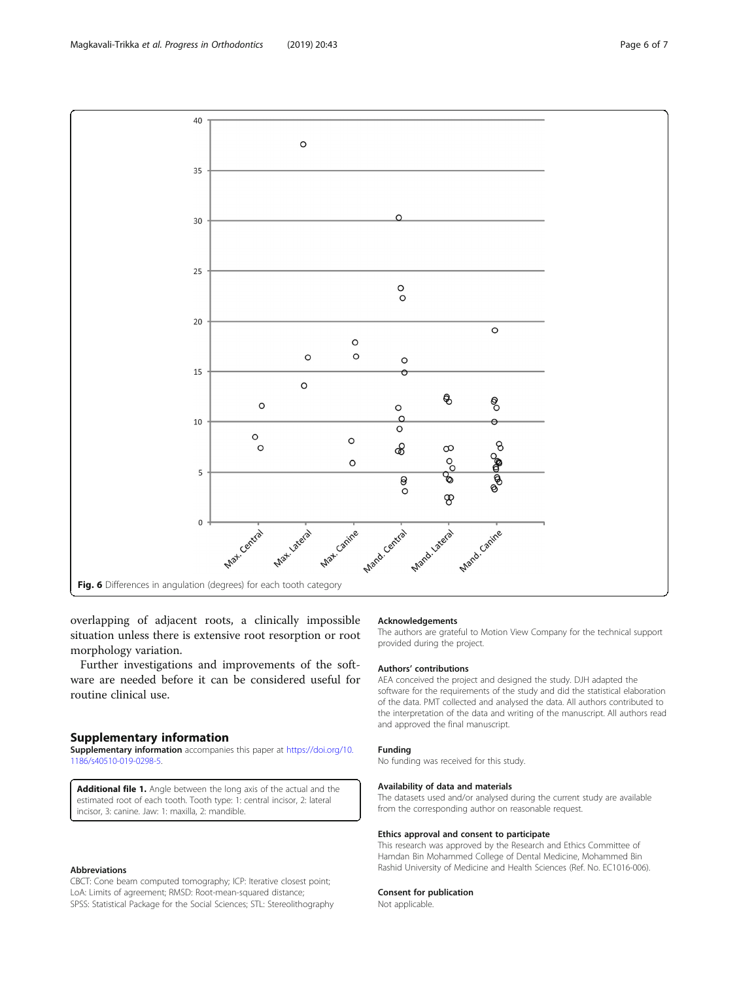<span id="page-5-0"></span>

overlapping of adjacent roots, a clinically impossible situation unless there is extensive root resorption or root morphology variation.

Further investigations and improvements of the software are needed before it can be considered useful for routine clinical use.

#### Supplementary information

Supplementary information accompanies this paper at [https://doi.org/10.](https://doi.org/10.1186/s40510-019-0298-5) [1186/s40510-019-0298-5.](https://doi.org/10.1186/s40510-019-0298-5)

Additional file 1. Angle between the long axis of the actual and the estimated root of each tooth. Tooth type: 1: central incisor, 2: lateral incisor, 3: canine. Jaw: 1: maxilla, 2: mandible.

#### Abbreviations

CBCT: Cone beam computed tomography; ICP: Iterative closest point; LoA: Limits of agreement; RMSD: Root-mean-squared distance; SPSS: Statistical Package for the Social Sciences; STL: Stereolithography

#### Acknowledgements

The authors are grateful to Motion View Company for the technical support provided during the project.

#### Authors' contributions

AEA conceived the project and designed the study. DJH adapted the software for the requirements of the study and did the statistical elaboration of the data. PMT collected and analysed the data. All authors contributed to the interpretation of the data and writing of the manuscript. All authors read and approved the final manuscript.

#### Funding

No funding was received for this study.

#### Availability of data and materials

The datasets used and/or analysed during the current study are available from the corresponding author on reasonable request.

#### Ethics approval and consent to participate

This research was approved by the Research and Ethics Committee of Hamdan Bin Mohammed College of Dental Medicine, Mohammed Bin Rashid University of Medicine and Health Sciences (Ref. No. EC1016-006).

#### Consent for publication

Not applicable.